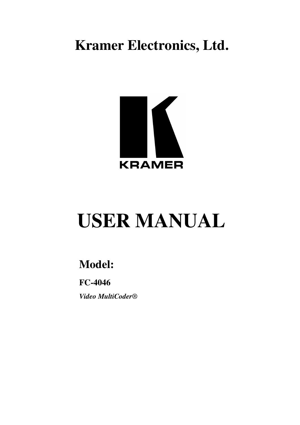**Kramer Electronics, Ltd.**



# **USER MANUAL**

## **Model:**

**FC-4046** *Video MultiCoder®*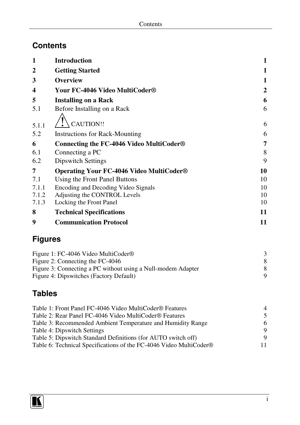## **Contents**

| 1              | <b>Introduction</b>                                                 | $\mathbf{1}$   |
|----------------|---------------------------------------------------------------------|----------------|
| $\mathbf{2}$   | <b>Getting Started</b>                                              | $\mathbf{1}$   |
| 3              | <b>Overview</b>                                                     | $\mathbf{1}$   |
| 4              | Your FC-4046 Video MultiCoder®                                      | $\overline{2}$ |
| 5              | <b>Installing on a Rack</b>                                         | 6              |
| 5.1            | Before Installing on a Rack                                         | 6              |
|                | CAUTION!!                                                           | 6              |
| 5.1.1          |                                                                     |                |
| 5.2            | <b>Instructions for Rack-Mounting</b>                               | 6              |
| 6              | Connecting the FC-4046 Video MultiCoder <sup>®</sup>                | 7              |
| 6.1            | Connecting a PC                                                     | 8              |
| 6.2            | <b>Dipswitch Settings</b>                                           | 9              |
| 7              | <b>Operating Your FC-4046 Video MultiCoder®</b>                     | 10             |
| 7.1            | Using the Front Panel Buttons                                       | 10             |
| 7.1.1          | Encoding and Decoding Video Signals                                 | 10             |
| 7.1.2          | Adjusting the CONTROL Levels                                        | 10             |
| 7.1.3          | Locking the Front Panel                                             | 10             |
| 8              | <b>Technical Specifications</b>                                     | 11             |
| 9              | <b>Communication Protocol</b>                                       | 11             |
| <b>Figures</b> |                                                                     |                |
|                | Figure 1: FC-4046 Video MultiCoder®                                 | 3              |
|                | Figure 2: Connecting the FC-4046                                    | 8              |
|                | Figure 3: Connecting a PC without using a Null-modem Adapter        | 8              |
|                | Figure 4: Dipswitches (Factory Default)                             | 9              |
| <b>Tables</b>  |                                                                     |                |
|                | Table 1: Front Panel FC-4046 Video MultiCoder <sup>®</sup> Features | 4              |
|                | Table 2: Rear Panel FC-4046 Video MultiCoder <sup>®</sup> Features  | 5              |
|                | Table 3: Recommended Ambient Temperature and Humidity Range         | 6              |
|                | Table 4: Dipswitch Settings                                         | 9              |
|                | Table 5: Dipswitch Standard Definitions (for AUTO switch off)       | 9<br>11        |
|                | Table 6: Technical Specifications of the FC-4046 Video MultiCoder®  |                |

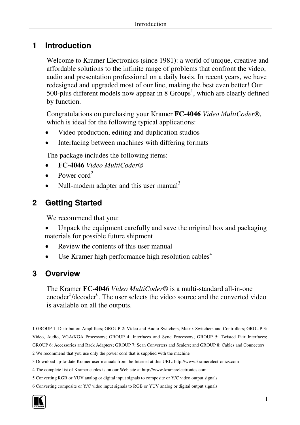## **1 Introduction**

Welcome to Kramer Electronics (since 1981): a world of unique, creative and affordable solutions to the infinite range of problems that confront the video, audio and presentation professional on a daily basis. In recent years, we have redesigned and upgraded most of our line, making the best even better! Our 500-plus different models now appear in 8  $Groups<sup>1</sup>$ , which are clearly defined by function.

Congratulations on purchasing your Kramer **FC-4046** *Video MultiCoder®*, which is ideal for the following typical applications:

- Video production, editing and duplication studios
- Interfacing between machines with differing formats

The package includes the following items:

- **FC-4046** *Video MultiCoder®*
- Power cord<sup>2</sup>
- $\bullet$  Null-modem adapter and this user manual<sup>3</sup>

## **2 Getting Started**

We recommend that you:

- Unpack the equipment carefully and save the original box and packaging materials for possible future shipment
- Review the contents of this user manual
- Use Kramer high performance high resolution cables<sup>4</sup>

#### **3 Overview**

The Kramer **FC-4046** *Video MultiCoder®* is a multi-standard all-in-one encoder<sup>5</sup>/decoder<sup>6</sup>. The user selects the video source and the converted video is available on all the outputs.

<sup>6</sup> Converting composite or Y/C video input signals to RGB or YUV analog or digital output signals



<sup>1</sup> GROUP 1: Distribution Amplifiers; GROUP 2: Video and Audio Switchers, Matrix Switchers and Controllers; GROUP 3:

Video, Audio, VGA/XGA Processors; GROUP 4: Interfaces and Sync Processors; GROUP 5: Twisted Pair Interfaces; GROUP 6: Accessories and Rack Adapters; GROUP 7: Scan Converters and Scalers; and GROUP 8: Cables and Connectors

<sup>2</sup> We recommend that you use only the power cord that is supplied with the machine

<sup>3</sup> Download up-to-date Kramer user manuals from the Internet at this URL: http://www.kramerelectronics.com

<sup>4</sup> The complete list of Kramer cables is on our Web site at http://www.kramerelectronics.com

<sup>5</sup> Converting RGB or YUV analog or digital input signals to composite or Y/C video output signals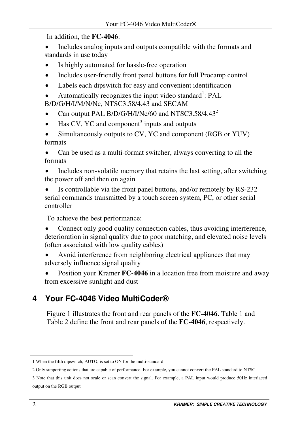In addition, the **FC-4046**:

 Includes analog inputs and outputs compatible with the formats and standards in use today

- Is highly automated for hassle-free operation
- Includes user-friendly front panel buttons for full Procamp control
- Labels each dipswitch for easy and convenient identification
- Automatically recognizes the input video standard<sup>1</sup>: PAL B/D/G/H/I/M/N/Nc, NTSC3.58/4.43 and SECAM
- Can output PAL B/D/G/H/I/Nc/60 and NTSC3.58/4.43<sup>2</sup>
- $\bullet$  Has CV, YC and component<sup>3</sup> inputs and outputs
- Simultaneously outputs to CV, YC and component (RGB or YUV) formats

 Can be used as a multi-format switcher, always converting to all the formats

- Includes non-volatile memory that retains the last setting, after switching the power off and then on again
- Is controllable via the front panel buttons, and/or remotely by RS-232 serial commands transmitted by a touch screen system, PC, or other serial controller

To achieve the best performance:

 Connect only good quality connection cables, thus avoiding interference, deterioration in signal quality due to poor matching, and elevated noise levels (often associated with low quality cables)

 Avoid interference from neighboring electrical appliances that may adversely influence signal quality

 Position your Kramer **FC-4046** in a location free from moisture and away from excessive sunlight and dust

## **4 Your FC-4046 Video MultiCoder®**

Figure 1 illustrates the front and rear panels of the **FC-4046**. Table 1 and Table 2 define the front and rear panels of the **FC-4046**, respectively.

<sup>1</sup> When the fifth dipswitch, AUTO, is set to ON for the multi-standard

<sup>2</sup> Only supporting actions that are capable of performance. For example, you cannot convert the PAL standard to NTSC

<sup>3</sup> Note that this unit does not scale or scan convert the signal. For example, a PAL input would produce 50Hz interlaced output on the RGB output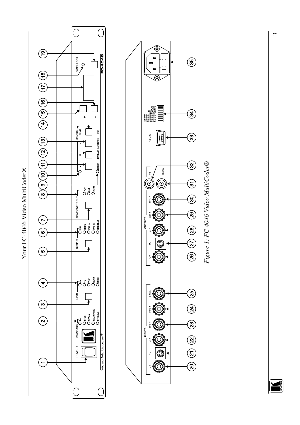Your FC-4046 Video MultiCoder® Your FC-4046 Video MultiCoder®





 $\omega$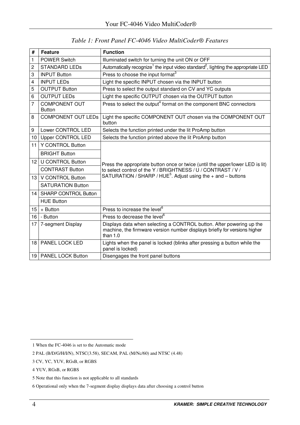| #               | Feature                               | <b>Function</b>                                                                                                                                                 |
|-----------------|---------------------------------------|-----------------------------------------------------------------------------------------------------------------------------------------------------------------|
| 1               | POWER Switch                          | Illuminated switch for turning the unit ON or OFF                                                                                                               |
| 2               | <b>STANDARD LEDS</b>                  | Automatically recognize <sup>1</sup> the input video standard <sup>2</sup> , lighting the appropriate LED                                                       |
| 3               | <b>INPUT Button</b>                   | Press to choose the input format <sup>3</sup>                                                                                                                   |
| 4               | <b>INPUT LEDS</b>                     | Light the specific INPUT chosen via the INPUT button                                                                                                            |
| 5               | <b>OUTPUT Button</b>                  | Press to select the output standard on CV and YC outputs                                                                                                        |
| 6               | <b>OUTPUT LEDS</b>                    | Light the specific OUTPUT chosen via the OUTPUT button                                                                                                          |
| 7               | <b>COMPONENT OUT</b><br><b>Button</b> | Press to select the output <sup>4</sup> format on the component BNC connectors                                                                                  |
| 8               | <b>COMPONENT OUT LEDS</b>             | Light the specific COMPONENT OUT chosen via the COMPONENT OUT<br>hutton                                                                                         |
| 9               | Lower CONTROL LED                     | Selects the function printed under the lit ProAmp button                                                                                                        |
| 10              | Upper CONTROL LED                     | Selects the function printed above the lit ProAmp button                                                                                                        |
| 11              | Y CONTROL Button                      |                                                                                                                                                                 |
|                 | <b>BRIGHT Button</b>                  |                                                                                                                                                                 |
| 12 <sub>1</sub> | <b>U CONTROL Button</b>               | Press the appropriate button once or twice (until the upper/lower LED is lit)                                                                                   |
|                 | <b>CONTRAST Button</b>                | to select control of the Y / BRIGHTNESS / U / CONTRAST / V /                                                                                                    |
| 13              | V CONTROL Button                      | SATURATION / SHARP / HUE <sup>5</sup> . Adjust using the $+$ and $-$ buttons                                                                                    |
|                 | SATURATION Button                     |                                                                                                                                                                 |
| 14 I            | <b>SHARP CONTROL Button</b>           |                                                                                                                                                                 |
|                 | <b>HUE Button</b>                     |                                                                                                                                                                 |
| 15              | + Button                              | Press to increase the level <sup>6</sup>                                                                                                                        |
| 16              | - Button                              | Press to decrease the level <sup>6</sup>                                                                                                                        |
| 17              | 7-segment Display                     | Displays data when selecting a CONTROL button. After powering up the<br>machine, the firmware version number displays briefly for versions higher<br>than $1.0$ |
| 18              | PANEL LOCK LED                        | Lights when the panel is locked (blinks after pressing a button while the<br>panel is locked)                                                                   |
|                 | 19   PANEL LOCK Button                | Disengages the front panel buttons                                                                                                                              |

*Table 1: Front Panel FC-4046 Video MultiCoder® Features*

When the FC-4046 is set to the Automatic mode

PAL (B/D/G/H/I/N), NTSC(3.58), SECAM, PAL (M/Nc/60) and NTSC (4.48)

CV, YC, YUV, RGsB, or RGBS

YUV, RGsB, or RGBS

Note that this function is not applicable to all standards

Operational only when the 7-segment display displays data after choosing a control button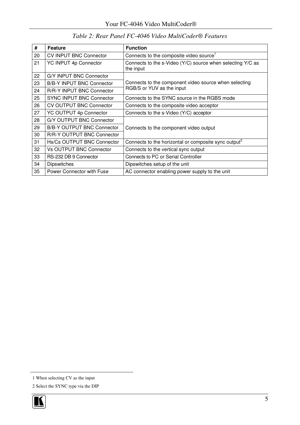| #  | Feature                        | <b>Function</b>                                                         |  |
|----|--------------------------------|-------------------------------------------------------------------------|--|
| 20 | <b>CV INPUT BNC Connector</b>  | Connects to the composite video source <sup>1</sup>                     |  |
| 21 | YC INPUT 4p Connector          | Connects to the s-Video (Y/C) source when selecting Y/C as<br>the input |  |
| 22 | G/Y INPUT BNC Connector        |                                                                         |  |
| 23 | B/B-Y INPUT BNC Connector      | Connects to the component video source when selecting                   |  |
| 24 | R/R-Y INPUT BNC Connector      | RGB/S or YUV as the input                                               |  |
| 25 | SYNC INPUT BNC Connector       | Connects to the SYNC source in the RGBS mode                            |  |
| 26 | <b>CV OUTPUT BNC Connector</b> | Connects to the composite video acceptor                                |  |
| 27 | YC OUTPUT 4p Connector         | Connects to the s-Video (Y/C) acceptor                                  |  |
| 28 | G/Y OUTPUT BNC Connector       |                                                                         |  |
| 29 | B/B-Y OUTPUT BNC Connector     | Connects to the component video output                                  |  |
| 30 | R/R-Y OUTPUT BNC Connector     |                                                                         |  |
| 31 | Hs/Cs OUTPUT BNC Connector     | Connects to the horizontal or composite sync output <sup>2</sup>        |  |
| 32 | <b>Vs OUTPUT BNC Connector</b> | Connects to the vertical sync output                                    |  |
| 33 | RS-232 DB 9 Connector          | Connects to PC or Serial Controller                                     |  |
| 34 | <b>Dipswitches</b>             | Dipswitches setup of the unit                                           |  |
| 35 | Power Connector with Fuse      | AC connector enabling power supply to the unit                          |  |

#### *Table 2: Rear Panel FC-4046 Video MultiCoder® Features*

Select the SYNC type via the DIP



When selecting CV as the input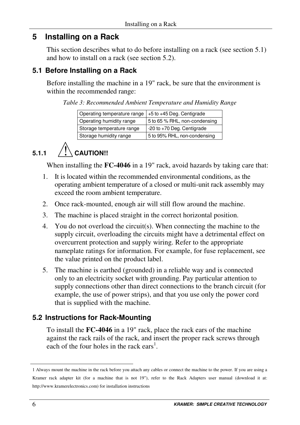## **5 Installing on a Rack**

This section describes what to do before installing on a rack (see section 5.1) and how to install on a rack (see section 5.2).

#### **5.1 Before Installing on a Rack**

Before installing the machine in a 19" rack, be sure that the environment is within the recommended range:

*Table 3: Recommended Ambient Temperature and Humidity Range*

| Operating temperature range | +5 to +45 Deg. Centigrade      |
|-----------------------------|--------------------------------|
| Operating humidity range    | 5 to 65 % RHL, non-condensing  |
| Storage temperature range   | $-20$ to $+70$ Deg. Centigrade |
| Storage humidity range      | 5 to 95% RHL, non-condensing   |

## $5.1.1$   $\left\langle \right\rangle$  CAUTION!!

When installing the **FC-4046** in a 19" rack, avoid hazards by taking care that:

- 1. It is located within the recommended environmental conditions, as the operating ambient temperature of a closed or multi-unit rack assembly may exceed the room ambient temperature.
- 2. Once rack-mounted, enough air will still flow around the machine.
- 3. The machine is placed straight in the correct horizontal position.
- 4. You do not overload the circuit(s). When connecting the machine to the supply circuit, overloading the circuits might have a detrimental effect on overcurrent protection and supply wiring. Refer to the appropriate nameplate ratings for information. For example, for fuse replacement, see the value printed on the product label.
- 5. The machine is earthed (grounded) in a reliable way and is connected only to an electricity socket with grounding. Pay particular attention to supply connections other than direct connections to the branch circuit (for example, the use of power strips), and that you use only the power cord that is supplied with the machine.

## **5.2 Instructions for Rack-Mounting**

To install the **FC-4046** in a 19" rack, place the rack ears of the machine against the rack rails of the rack, and insert the proper rack screws through each of the four holes in the rack ears<sup>1</sup>.

<sup>1</sup> Always mount the machine in the rack before you attach any cables or connect the machine to the power. If you are using a Kramer rack adapter kit (for a machine that is not 19"), refer to the Rack Adapters user manual (download it at: http://www.kramerelectronics.com) for installation instructions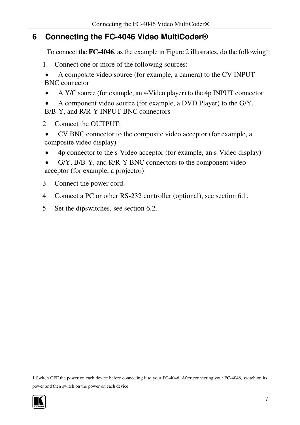### **6 Connecting the FC-4046 Video MultiCoder®**

To connect the **FC-4046**, as the example in Figure 2 illustrates, do the following<sup>1</sup>:

- 1. Connect one or more of the following sources:
- A composite video source (for example, a camera) to the CV INPUT BNC connector
- A Y/C source (for example, an s-Video player) to the 4p INPUT connector
- A component video source (for example, a DVD Player) to the G/Y, B/B-Y, and R/R-Y INPUT BNC connectors
- 2. Connect the OUTPUT:
- CV BNC connector to the composite video acceptor (for example, a composite video display)
- 4p connector to the s-Video acceptor (for example, an s-Video display)
- G/Y, B/B-Y, and R/R-Y BNC connectors to the component video acceptor (for example, a projector)
- 3. Connect the power cord.
- 4. Connect a PC or other RS-232 controller (optional), see section 6.1.
- 5. Set the dipswitches, see section 6.2.

<sup>1</sup> Switch OFF the power on each device before connecting it to your FC-4046. After connecting your FC-4046, switch on its power and then switch on the power on each device

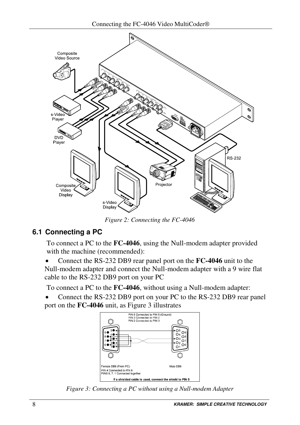

*Figure 2: Connecting the FC-4046*

#### **6.1 Connecting a PC**

To connect a PC to the **FC-4046**, using the Null-modem adapter provided with the machine (recommended):

 Connect the RS-232 DB9 rear panel port on the **FC-4046** unit to the Null-modem adapter and connect the Null-modem adapter with a 9 wire flat cable to the RS-232 DB9 port on your PC

To connect a PC to the **FC-4046**, without using a Null-modem adapter:

 Connect the RS-232 DB9 port on your PC to the RS-232 DB9 rear panel port on the **FC-4046** unit, as Figure 3 illustrates



*Figure 3: Connecting a PC without using a Null-modem Adapter*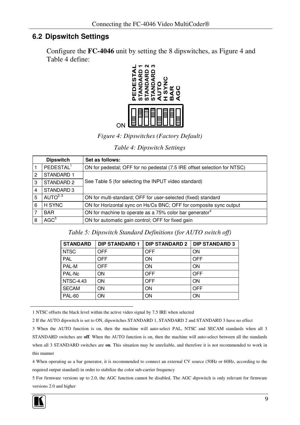#### **6.2 Dipswitch Settings**

Configure the **FC-4046** unit by setting the 8 dipswitches, as Figure 4 and Table 4 define:



*Figure 4: Dipswitches (Factory Default)*

#### *Table 4: Dipswitch Settings*

|   | <b>Dipswitch</b>      | Set as follows:                                                          |
|---|-----------------------|--------------------------------------------------------------------------|
|   | PEDESTAL <sup>1</sup> | ON for pedestal; OFF for no pedestal (7.5 IRE offset selection for NTSC) |
| 2 | STANDARD 1            |                                                                          |
| 3 | STANDARD 2            | See Table 5 (for selecting the INPUT video standard)                     |
| 4 | STANDARD 3            |                                                                          |
| 5 | AUTO $2,3$            | ON for multi-standard; OFF for user-selected (fixed) standard            |
| 6 | H SYNC                | ON for Horizontal sync on Hs/Cs BNC; OFF for composite sync output       |
|   | <b>BAR</b>            | ON for machine to operate as a 75% color bar generator <sup>4</sup>      |
| 8 | AGC <sup>5</sup>      | ON for automatic gain control; OFF for fixed gain                        |

*Table 5: Dipswitch Standard Definitions (for AUTO switch off)*

| <b>STANDARD</b>  | <b>DIP STANDARD 1</b> | DIP STANDARD 2   DIP STANDARD 3 |     |
|------------------|-----------------------|---------------------------------|-----|
| <b>NTSC</b>      | OFF                   | OFF                             | ON  |
| PAL              | <b>OFF</b>            | ON                              | OFF |
| PAL-M            | <b>OFF</b>            | ON                              | ON  |
| PAL-Nc           | ON                    | OFF                             | OFF |
| <b>NTSC-4.43</b> | ON                    | OFF                             | ON  |
| <b>SECAM</b>     | ON                    | ON                              | OFF |
| <b>PAL-60</b>    | ON                    | ON                              | ON  |

1 NTSC offsets the black level within the active video signal by 7.5 IRE when selected

3 When the AUTO function is on, then the machine will auto-select PAL, NTSC and SECAM standards when all 3 STANDARD switches are **off**. When the AUTO function is on, then the machine will auto-select between all the standards when all 3 STANDARD switches are **on**. This situation may be unreliable, and therefore it is not recommended to work in this manner

4 When operating as a bar generator, it is recommended to connect an external CV source (50Hz or 60Hz, according to the required output standard) in order to stabilize the color sub-carrier frequency

5 For firmware versions up to 2.0, the AGC function cannot be disabled. The AGC dipswitch is only relevant for firmware versions 2.0 and higher



<sup>2</sup> If the AUTO dipswitch is set to ON, dipswitches STANDARD 1, STANDARD 2 and STANDARD 3 have no effect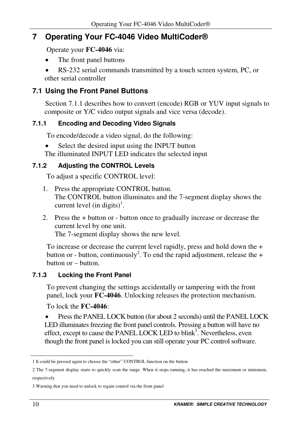## **7 Operating Your FC-4046 Video MultiCoder®**

Operate your **FC-4046** via:

- The front panel buttons
- RS-232 serial commands transmitted by a touch screen system, PC, or other serial controller

### **7.1 Using the Front Panel Buttons**

Section 7.1.1 describes how to convert (encode) RGB or YUV input signals to composite or Y/C video output signals and vice versa (decode).

#### **7.1.1 Encoding and Decoding Video Signals**

To encode/decode a video signal, do the following:

Select the desired input using the INPUT button

The illuminated INPUT LED indicates the selected input

#### **7.1.2 Adjusting the CONTROL Levels**

To adjust a specific CONTROL level:

- 1. Press the appropriate CONTROL button. The CONTROL button illuminates and the 7-segment display shows the current level (in digits)<sup>1</sup>.
- 2. Press the + button or button once to gradually increase or decrease the current level by one unit.

The 7-segment display shows the new level.

To increase or decrease the current level rapidly, press and hold down the + button or - button, continuously<sup>2</sup>. To end the rapid adjustment, release the + button or – button.

#### **7.1.3 Locking the Front Panel**

To prevent changing the settings accidentally or tampering with the front panel, lock your **FC-4046**. Unlocking releases the protection mechanism.

To lock the **FC-4046**:

 Pressthe PANEL LOCK button (for about 2 seconds) until the PANEL LOCK LED illuminates freezing the front panel controls. Pressing a button will have no effect, except to cause the PANEL LOCK LED to blink<sup>3</sup>. Nevertheless, even though the front panel is locked you can still operate your PC control software.

<sup>1</sup> It could be pressed again to choose the "other" CONTROL function on the button

<sup>2</sup> The 7-segment display starts to quickly scan the range. When it stops running, it has reached the maximum or minimum, respectively

<sup>3</sup> Warning that you need to unlock to regain control via the front panel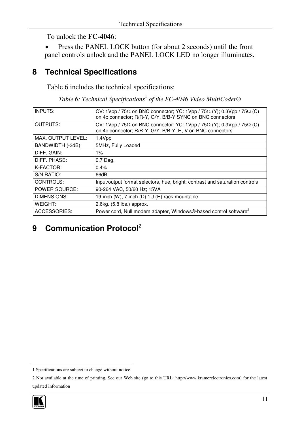To unlock the **FC-4046**:

 Press the PANEL LOCK button (for about 2 seconds) until the front panel controls unlock and the PANEL LOCK LED no longer illuminates.

## **8 Technical Specifications**

Table 6 includes the technical specifications:

*Table 6: Technical Specifications* 1 *of the FC-4046 Video MultiCoder®*

| INPUTS:              | CV: 1Vpp / $75\Omega$ on BNC connector; YC: 1Vpp / $75\Omega$ (Y); 0.3Vpp / $75\Omega$ (C)<br>on 4p connector; R/R-Y, G/Y, B/B-Y SYNC on BNC connectors  |
|----------------------|----------------------------------------------------------------------------------------------------------------------------------------------------------|
| <b>OUTPUTS:</b>      | CV: 1Vpp / $75\Omega$ on BNC connector; YC: 1Vpp / $75\Omega$ (Y); 0.3Vpp / $75\Omega$ (C)<br>on 4p connector; R/R-Y, G/Y, B/B-Y, H, V on BNC connectors |
| MAX. OUTPUT LEVEL:   | 1.4Vpp                                                                                                                                                   |
| BANDWIDTH (-3dB):    | 5MHz, Fully Loaded                                                                                                                                       |
| DIFF. GAIN:          | 1%                                                                                                                                                       |
| DIFF. PHASE:         | 0.7 Deg.                                                                                                                                                 |
| K-FACTOR:            | 0.4%                                                                                                                                                     |
| S/N RATIO:           | 66dB                                                                                                                                                     |
| CONTROLS:            | Input/output format selectors, hue, bright, contrast and saturation controls                                                                             |
| <b>POWER SOURCE:</b> | 90-264 VAC, 50/60 Hz; 15VA                                                                                                                               |
| DIMENSIONS:          | 19-inch (W), 7-inch (D) 1U (H) rack-mountable                                                                                                            |
| WEIGHT:              | 2.6kg. (5.8 lbs.) approx.                                                                                                                                |
| <b>ACCESSORIES:</b>  | Power cord, Null modem adapter, Windows®-based control software <sup>2</sup>                                                                             |

## **9 Communication Protocol** 2

<sup>2</sup> Not available at the time of printing. See our Web site (go to this URL: http://www.kramerelectronics.com) for the latest updated information



<sup>1</sup> Specifications are subject to change without notice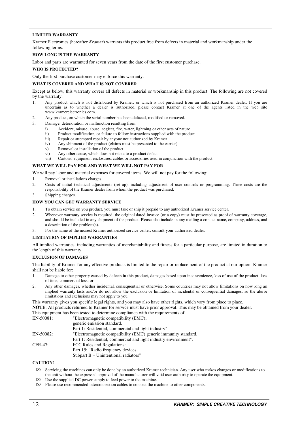#### **LIMITED WARRANTY**

Kramer Electronics (hereafter *Kramer*) warrants this product free from defects in material and workmanship under the following terms.

#### **HOW LONG IS THE WARRANTY**

Labor and parts are warranted for seven years from the date of the first customer purchase.

#### **WHO IS PROTECTED?**

Only the first purchase customer may enforce this warranty.

#### **WHAT IS COVERED AND WHAT IS NOT COVERED**

Except as below, this warranty covers all defects in material or workmanship in this product. The following are not covered by the warranty:

- 1. Any product which is not distributed by Kramer, or which is not purchased from an authorized Kramer dealer. If you are uncertain as to whether a dealer is authorized, please contact Kramer at one of the agents listed in the web site www.kramerelectronics.com.
- 2. Any product, on which the serial number has been defaced, modified or removed.
- 3. Damage, deterioration or malfunction resulting from:
	- i) Accident, misuse, abuse, neglect, fire, water, lightning or other acts of nature
	- ii) Product modification, or failure to follow instructions supplied with the product
	- iii) Repair or attempted repair by anyone not authorized by  $\hat{K}$ ramer<br>iv) Any shipment of the product (claims must be presented to the co
	- Any shipment of the product (claims must be presented to the carrier)
	- v) Removal or installation of the product
	- vi) Any other cause, which does not relate to a product defect
	- vii) Cartons, equipment enclosures, cables or accessories used in conjunction with the product

#### **WHAT WE WILL PAY FOR AND WHAT WE WILL NOT PAY FOR**

We will pay labor and material expenses for covered items. We will not pay for the following:

- 1. Removal or installations charges.
- 2. Costs of initial technical adjustments (set-up), including adjustment of user controls or programming. These costs are the responsibility of the Kramer dealer from whom the product was purchased.
- 3. Shipping charges.

#### **HOW YOU CAN GET WARRANTY SERVICE**

- 1. To obtain service on you product, you must take or ship it prepaid to any authorized Kramer service center.
- 2. Whenever warranty service is required, the original dated invoice (or a copy) must be presented as proof of warranty coverage, and should be included in any shipment of the product. Please also include in any mailing a contact name, company, address, and a description of the problem(s).
- 3. For the name of the nearest Kramer authorized service center, consult your authorized dealer.

#### **LIMITATION OF IMPLIED WARRANTIES**

All implied warranties, including warranties of merchantability and fitness for a particular purpose, are limited in duration to the length of this warranty.

#### **EXCLUSION OF DAMAGES**

The liability of Kramer for any effective products is limited to the repair or replacement of the product at our option. Kramer shall not be liable for:

- 1. Damage to other property caused by defects in this product, damages based upon inconvenience, loss of use of the product, loss of time, commercial loss; or:
- 2. Any other damages, whether incidental, consequential or otherwise. Some countries may not allow limitations on how long an implied warranty lasts and/or do not allow the exclusion or limitation of incidental or consequential damages, so the above limitations and exclusions may not apply to you.

This warranty gives you specific legal rights, and you may also have other rights, which vary from place to place. **NOTE**: All products returned to Kramer for service must have prior approval. This may be obtained from your dealer.

This equipment has been tested to determine compliance with the requirements of:

| EN-50081: | "Electromagnetic compatibility (EMC);                            |
|-----------|------------------------------------------------------------------|
|           | generic emission standard.                                       |
|           | Part 1: Residential, commercial and light industry"              |
| EN-50082: | "Electromagnetic compatibility (EMC) generic immunity standard.  |
|           | Part 1: Residential, commercial and light industry environment". |
| CFR-47:   | FCC Rules and Regulations:                                       |
|           | Part 15: "Radio frequency devices                                |
|           | Subpart B - Unintentional radiators"                             |

#### **CAUTION!**

- Servicing the machines can only be done by an authorized Kramer technician. Any user who makes changes or modifications to the unit without the expressed approval of the manufacturer will void user authority to operate the equipment.
- $\boxtimes$  Use the supplied DC power supply to feed power to the machine.
- $\triangleright$  Please use recommended interconnection cables to connect the machine to other components.